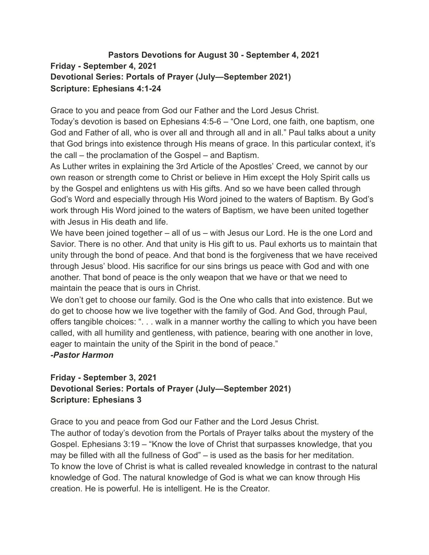## **Pastors Devotions for August 30 - September 4, 2021 Friday - September 4, 2021 Devotional Series: Portals of Prayer (July—September 2021) Scripture: Ephesians 4:1-24**

Grace to you and peace from God our Father and the Lord Jesus Christ.

Today's devotion is based on Ephesians 4:5-6 – "One Lord, one faith, one baptism, one God and Father of all, who is over all and through all and in all." Paul talks about a unity that God brings into existence through His means of grace. In this particular context, it's the call – the proclamation of the Gospel – and Baptism.

As Luther writes in explaining the 3rd Article of the Apostles' Creed, we cannot by our own reason or strength come to Christ or believe in Him except the Holy Spirit calls us by the Gospel and enlightens us with His gifts. And so we have been called through God's Word and especially through His Word joined to the waters of Baptism. By God's work through His Word joined to the waters of Baptism, we have been united together with Jesus in His death and life.

We have been joined together – all of us – with Jesus our Lord. He is the one Lord and Savior. There is no other. And that unity is His gift to us. Paul exhorts us to maintain that unity through the bond of peace. And that bond is the forgiveness that we have received through Jesus' blood. His sacrifice for our sins brings us peace with God and with one another. That bond of peace is the only weapon that we have or that we need to maintain the peace that is ours in Christ.

We don't get to choose our family. God is the One who calls that into existence. But we do get to choose how we live together with the family of God. And God, through Paul, offers tangible choices: ". . . walk in a manner worthy the calling to which you have been called, with all humility and gentleness, with patience, bearing with one another in love, eager to maintain the unity of the Spirit in the bond of peace."

#### *-Pastor Harmon*

## **Friday - September 3, 2021 Devotional Series: Portals of Prayer (July—September 2021) Scripture: Ephesians 3**

Grace to you and peace from God our Father and the Lord Jesus Christ.

The author of today's devotion from the Portals of Prayer talks about the mystery of the Gospel. Ephesians 3:19 – "Know the love of Christ that surpasses knowledge, that you may be filled with all the fullness of God" – is used as the basis for her meditation. To know the love of Christ is what is called revealed knowledge in contrast to the natural knowledge of God. The natural knowledge of God is what we can know through His creation. He is powerful. He is intelligent. He is the Creator.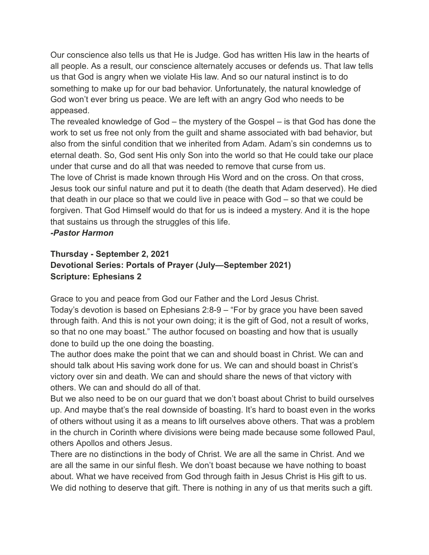Our conscience also tells us that He is Judge. God has written His law in the hearts of all people. As a result, our conscience alternately accuses or defends us. That law tells us that God is angry when we violate His law. And so our natural instinct is to do something to make up for our bad behavior. Unfortunately, the natural knowledge of God won't ever bring us peace. We are left with an angry God who needs to be appeased.

The revealed knowledge of God – the mystery of the Gospel – is that God has done the work to set us free not only from the guilt and shame associated with bad behavior, but also from the sinful condition that we inherited from Adam. Adam's sin condemns us to eternal death. So, God sent His only Son into the world so that He could take our place under that curse and do all that was needed to remove that curse from us.

The love of Christ is made known through His Word and on the cross. On that cross, Jesus took our sinful nature and put it to death (the death that Adam deserved). He died that death in our place so that we could live in peace with God – so that we could be forgiven. That God Himself would do that for us is indeed a mystery. And it is the hope that sustains us through the struggles of this life.

*-Pastor Harmon*

# **Thursday - September 2, 2021 Devotional Series: Portals of Prayer (July—September 2021) Scripture: Ephesians 2**

Grace to you and peace from God our Father and the Lord Jesus Christ. Today's devotion is based on Ephesians 2:8-9 – "For by grace you have been saved through faith. And this is not your own doing; it is the gift of God, not a result of works, so that no one may boast." The author focused on boasting and how that is usually done to build up the one doing the boasting.

The author does make the point that we can and should boast in Christ. We can and should talk about His saving work done for us. We can and should boast in Christ's victory over sin and death. We can and should share the news of that victory with others. We can and should do all of that.

But we also need to be on our guard that we don't boast about Christ to build ourselves up. And maybe that's the real downside of boasting. It's hard to boast even in the works of others without using it as a means to lift ourselves above others. That was a problem in the church in Corinth where divisions were being made because some followed Paul, others Apollos and others Jesus.

There are no distinctions in the body of Christ. We are all the same in Christ. And we are all the same in our sinful flesh. We don't boast because we have nothing to boast about. What we have received from God through faith in Jesus Christ is His gift to us. We did nothing to deserve that gift. There is nothing in any of us that merits such a gift.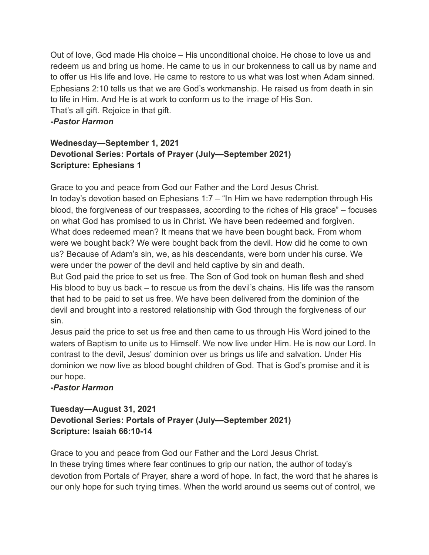Out of love, God made His choice – His unconditional choice. He chose to love us and redeem us and bring us home. He came to us in our brokenness to call us by name and to offer us His life and love. He came to restore to us what was lost when Adam sinned. Ephesians 2:10 tells us that we are God's workmanship. He raised us from death in sin to life in Him. And He is at work to conform us to the image of His Son. That's all gift. Rejoice in that gift.

#### *-Pastor Harmon*

## **Wednesday—September 1, 2021 Devotional Series: Portals of Prayer (July—September 2021) Scripture: Ephesians 1**

Grace to you and peace from God our Father and the Lord Jesus Christ. In today's devotion based on Ephesians 1:7 – "In Him we have redemption through His blood, the forgiveness of our trespasses, according to the riches of His grace" – focuses on what God has promised to us in Christ. We have been redeemed and forgiven. What does redeemed mean? It means that we have been bought back. From whom were we bought back? We were bought back from the devil. How did he come to own us? Because of Adam's sin, we, as his descendants, were born under his curse. We were under the power of the devil and held captive by sin and death.

But God paid the price to set us free. The Son of God took on human flesh and shed His blood to buy us back – to rescue us from the devil's chains. His life was the ransom that had to be paid to set us free. We have been delivered from the dominion of the devil and brought into a restored relationship with God through the forgiveness of our sin.

Jesus paid the price to set us free and then came to us through His Word joined to the waters of Baptism to unite us to Himself. We now live under Him. He is now our Lord. In contrast to the devil, Jesus' dominion over us brings us life and salvation. Under His dominion we now live as blood bought children of God. That is God's promise and it is our hope.

### *-Pastor Harmon*

### **Tuesday—August 31, 2021 Devotional Series: Portals of Prayer (July—September 2021) Scripture: Isaiah 66:10-14**

Grace to you and peace from God our Father and the Lord Jesus Christ. In these trying times where fear continues to grip our nation, the author of today's devotion from Portals of Prayer, share a word of hope. In fact, the word that he shares is our only hope for such trying times. When the world around us seems out of control, we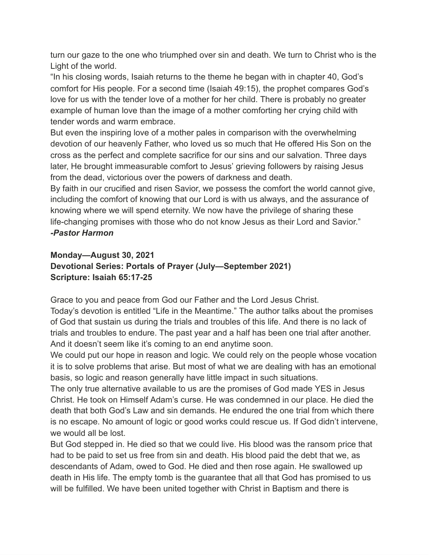turn our gaze to the one who triumphed over sin and death. We turn to Christ who is the Light of the world.

"In his closing words, Isaiah returns to the theme he began with in chapter 40, God's comfort for His people. For a second time (Isaiah 49:15), the prophet compares God's love for us with the tender love of a mother for her child. There is probably no greater example of human love than the image of a mother comforting her crying child with tender words and warm embrace.

But even the inspiring love of a mother pales in comparison with the overwhelming devotion of our heavenly Father, who loved us so much that He offered His Son on the cross as the perfect and complete sacrifice for our sins and our salvation. Three days later, He brought immeasurable comfort to Jesus' grieving followers by raising Jesus from the dead, victorious over the powers of darkness and death.

By faith in our crucified and risen Savior, we possess the comfort the world cannot give, including the comfort of knowing that our Lord is with us always, and the assurance of knowing where we will spend eternity. We now have the privilege of sharing these life-changing promises with those who do not know Jesus as their Lord and Savior." *-Pastor Harmon*

## **Monday—August 30, 2021 Devotional Series: Portals of Prayer (July—September 2021) Scripture: Isaiah 65:17-25**

Grace to you and peace from God our Father and the Lord Jesus Christ.

Today's devotion is entitled "Life in the Meantime." The author talks about the promises of God that sustain us during the trials and troubles of this life. And there is no lack of trials and troubles to endure. The past year and a half has been one trial after another. And it doesn't seem like it's coming to an end anytime soon.

We could put our hope in reason and logic. We could rely on the people whose vocation it is to solve problems that arise. But most of what we are dealing with has an emotional basis, so logic and reason generally have little impact in such situations.

The only true alternative available to us are the promises of God made YES in Jesus Christ. He took on Himself Adam's curse. He was condemned in our place. He died the death that both God's Law and sin demands. He endured the one trial from which there is no escape. No amount of logic or good works could rescue us. If God didn't intervene, we would all be lost.

But God stepped in. He died so that we could live. His blood was the ransom price that had to be paid to set us free from sin and death. His blood paid the debt that we, as descendants of Adam, owed to God. He died and then rose again. He swallowed up death in His life. The empty tomb is the guarantee that all that God has promised to us will be fulfilled. We have been united together with Christ in Baptism and there is